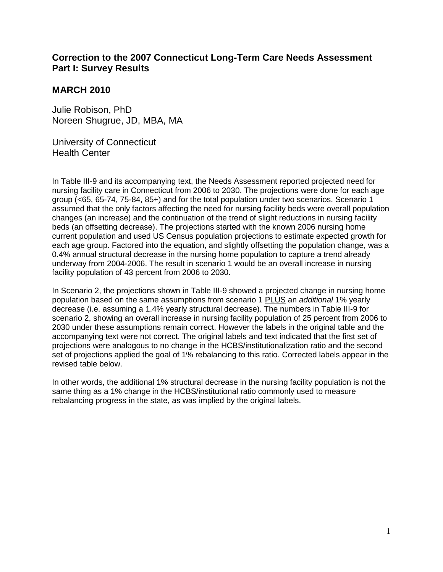## **Correction to the 2007 Connecticut Long-Term Care Needs Assessment Part I: Survey Results**

## **MARCH 2010**

Julie Robison, PhD Noreen Shugrue, JD, MBA, MA

University of Connecticut Health Center

In Table III-9 and its accompanying text, the Needs Assessment reported projected need for nursing facility care in Connecticut from 2006 to 2030. The projections were done for each age group (<65, 65-74, 75-84, 85+) and for the total population under two scenarios. Scenario 1 assumed that the only factors affecting the need for nursing facility beds were overall population changes (an increase) and the continuation of the trend of slight reductions in nursing facility beds (an offsetting decrease). The projections started with the known 2006 nursing home current population and used US Census population projections to estimate expected growth for each age group. Factored into the equation, and slightly offsetting the population change, was a 0.4% annual structural decrease in the nursing home population to capture a trend already underway from 2004-2006. The result in scenario 1 would be an overall increase in nursing facility population of 43 percent from 2006 to 2030.

In Scenario 2, the projections shown in Table III-9 showed a projected change in nursing home population based on the same assumptions from scenario 1 PLUS an *additional* 1% yearly decrease (i.e. assuming a 1.4% yearly structural decrease). The numbers in Table III-9 for scenario 2, showing an overall increase in nursing facility population of 25 percent from 2006 to 2030 under these assumptions remain correct. However the labels in the original table and the accompanying text were not correct. The original labels and text indicated that the first set of projections were analogous to no change in the HCBS/institutionalization ratio and the second set of projections applied the goal of 1% rebalancing to this ratio. Corrected labels appear in the revised table below.

In other words, the additional 1% structural decrease in the nursing facility population is not the same thing as a 1% change in the HCBS/institutional ratio commonly used to measure rebalancing progress in the state, as was implied by the original labels.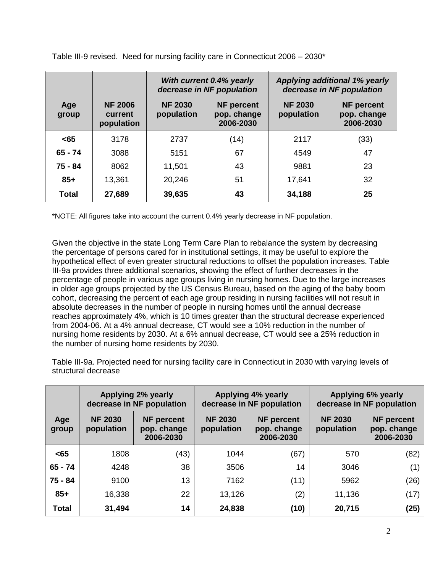|              |                                         | With current 0.4% yearly<br>decrease in NF population |                                               | <b>Applying additional 1% yearly</b><br>decrease in NF population |                                               |  |
|--------------|-----------------------------------------|-------------------------------------------------------|-----------------------------------------------|-------------------------------------------------------------------|-----------------------------------------------|--|
| Age<br>group | <b>NF 2006</b><br>current<br>population | <b>NF 2030</b><br>population                          | <b>NF</b> percent<br>pop. change<br>2006-2030 | <b>NF 2030</b><br>population                                      | <b>NF</b> percent<br>pop. change<br>2006-2030 |  |
| $65$         | 3178                                    | 2737                                                  | (14)                                          | 2117                                                              | (33)                                          |  |
| $65 - 74$    | 3088                                    | 5151                                                  | 67                                            | 4549                                                              | 47                                            |  |
| 75 - 84      | 8062                                    | 11,501                                                | 43                                            | 9881                                                              | 23                                            |  |
| $85+$        | 13,361                                  | 20,246                                                | 51                                            | 17,641                                                            | 32                                            |  |
| Total        | 27,689                                  | 39,635                                                | 43                                            | 34,188                                                            | 25                                            |  |

Table III-9 revised. Need for nursing facility care in Connecticut 2006 – 2030\*

\*NOTE: All figures take into account the current 0.4% yearly decrease in NF population.

Given the objective in the state Long Term Care Plan to rebalance the system by decreasing the percentage of persons cared for in institutional settings, it may be useful to explore the hypothetical effect of even greater structural reductions to offset the population increases. Table III-9a provides three additional scenarios, showing the effect of further decreases in the percentage of people in various age groups living in nursing homes. Due to the large increases in older age groups projected by the US Census Bureau, based on the aging of the baby boom cohort, decreasing the percent of each age group residing in nursing facilities will not result in absolute decreases in the number of people in nursing homes until the annual decrease reaches approximately 4%, which is 10 times greater than the structural decrease experienced from 2004-06. At a 4% annual decrease, CT would see a 10% reduction in the number of nursing home residents by 2030. At a 6% annual decrease, CT would see a 25% reduction in the number of nursing home residents by 2030.

Table III-9a. Projected need for nursing facility care in Connecticut in 2030 with varying levels of structural decrease

|              | <b>Applying 2% yearly</b><br>decrease in NF population |                                               |                              | <b>Applying 4% yearly</b><br>decrease in NF population | Applying 6% yearly<br>decrease in NF population |                                               |
|--------------|--------------------------------------------------------|-----------------------------------------------|------------------------------|--------------------------------------------------------|-------------------------------------------------|-----------------------------------------------|
| Age<br>group | <b>NF 2030</b><br>population                           | <b>NF</b> percent<br>pop. change<br>2006-2030 | <b>NF 2030</b><br>population | <b>NF percent</b><br>pop. change<br>2006-2030          | <b>NF 2030</b><br>population                    | <b>NF</b> percent<br>pop. change<br>2006-2030 |
| $65$         | 1808                                                   | (43)                                          | 1044                         | (67)                                                   | 570                                             | (82)                                          |
| $65 - 74$    | 4248                                                   | 38                                            | 3506                         | 14                                                     | 3046                                            | (1)                                           |
| 75 - 84      | 9100                                                   | 13                                            | 7162                         | (11)                                                   | 5962                                            | (26)                                          |
| $85+$        | 16,338                                                 | 22                                            | 13,126                       | (2)                                                    | 11,136                                          | (17)                                          |
| <b>Total</b> | 31,494                                                 | 14                                            | 24,838                       | (10)                                                   | 20,715                                          | (25)                                          |